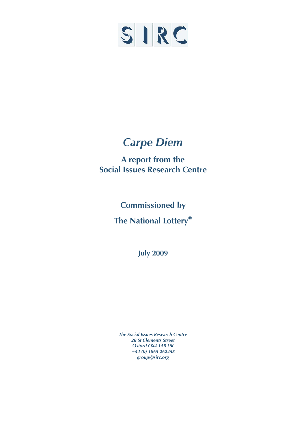

# *Carpe Diem*

**A report from the Social Issues Research Centre** 

**Commissioned by** 

**The National Lottery®**

**July 2009** 

*The Social Issues Research Centre 28 St Clements Street Oxford OX4 1AB UK +44 (0) 1865 262255 group@sirc.org*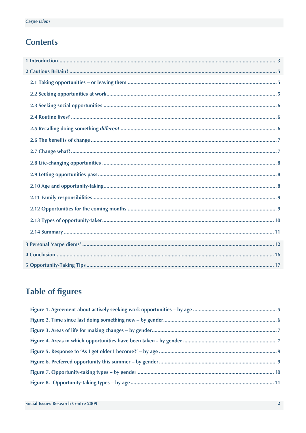# **Contents**

# **Table of figures**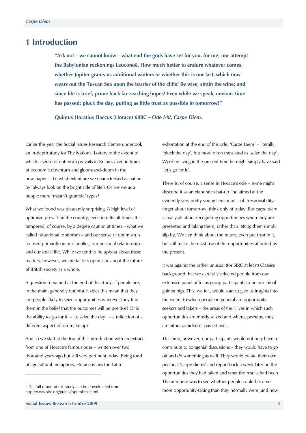## <span id="page-2-0"></span>**1 Introduction**

**"Ask not – we cannot know – what end the gods have set for you, for me; nor attempt the Babylonian reckonings Leuconoë. How much better to endure whatever comes, whether Jupiter grants us additional winters or whether this is our last, which now wears out the Tuscan Sea upon the barrier of the cliffs! Be wise, strain the wine; and since life is brief, prune back far-reaching hopes! Even while we speak, envious time has passed: pluck the day, putting as little trust as possible in tomorrow!"** 

**Quintus Horatius Flaccus (Horace) 68BC –** *Ode I-XI***,** *Carpe Diem.*

Earlier this year the Social Issues Research Centre undertook an in-depth study for The National Lottery of the extent to which a sense of optimism prevails in Britain, even in times of economic downturn and gloom-and-doom in the newspapers<sup>1</sup>. To what extent are we characterised as nation by 'always look on the bright side of life'? Or are we as a people more 'mustn't grumble' types?

What we found was pleasantly surprising. A high level of optimism prevails in the country, even in difficult times. It is tempered, of course, by a degree caution at times – what we called 'situational' optimism – and our sense of optimism is focused primarily on our families, our personal relationships and our social life. While we tend to be upbeat about these matters, however, we are far less optimistic about the future of British society as a whole.

A question remained at the end of this study. If people are, in the main, generally optimistic, does this mean that they are people likely to seize opportunities wherever they find them in the belief that the outcomes will be positive? Or is the ability to 'go for it' – 'to seize the day' – a reflection of a different aspect of our make up?

And so we start at the top of this introduction with an extract from one of Horace's famous odes – written over two thousand years ago but still very pertinent today. Being fond of agricultural metaphors, Horace issues the Latin

j

exhortation at the end of this ode, '*Carpe Diem'* – literally, 'pluck the day', but more often translated as 'seize the day'. Were he living in the present time he might simply have said 'let's go for it'.

There is, of course, a sense in Horace's ode – some might describe it as an elaborate chat-up line aimed at the evidently very pretty young Leuconoë – of irresponsibility: forget about tomorrow, think only of today. But *carpe diem* is really all about recognising opportunities when they are presented and taking them, rather than letting them simply slip by. We can think about the future, even put trust in it, but still make the most use of the opportunities afforded by the present.

It was against the rather unusual (for SIRC at least) Classics background that we carefully selected people from our extensive panel of focus group participants to be our initial guinea pigs. This, we felt, would start to give us insights into the extent to which people in general are opportunityseekers and takers – the areas of their lives in which such opportunities are mostly seized and where, perhaps, they are either avoided or passed over.

This time, however, our participants would not only have to contribute to congenial discussions – they would have to go off and *do* something as well. They would create their own personal 'carpe diems' and report back a week later on the opportunities they had taken and what the results had been. The aim here was to see whether people could become more opportunity-taking than they normally were, and how

<span id="page-2-1"></span><sup>1</sup> The full report of this study can be downloaded from http://www.sirc.org/publik/optimism.shtml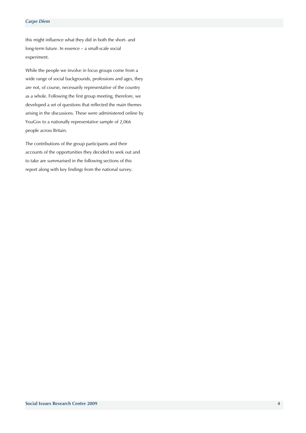this might influence what they did in both the short- and long-term future. In essence – a small-scale social experiment.

While the people we involve in focus groups come from a wide range of social backgrounds, professions and ages, they are not, of course, necessarily representative of the country as a whole. Following the first group meeting, therefore, we developed a set of questions that reflected the main themes arising in the discussions. These were administered online by YouGov to a nationally representative sample of 2,066 people across Britain.

The contributions of the group participants and their accounts of the opportunities they decided to seek out and to take are summarised in the following sections of this report along with key findings from the national survey.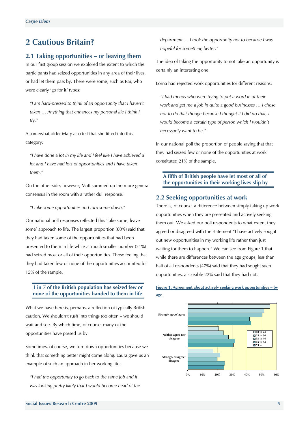# <span id="page-4-0"></span>**2 Cautious Britain?**

#### **2.1 Taking opportunities – or leaving them**

In our first group session we explored the extent to which the participants had seized opportunities in any area of their lives, or had let them pass by. There were some, such as Rai, who were clearly 'go for it' types:

*"I am hard-pressed to think of an opportunity that I haven't taken … Anything that enhances my personal life I think I try."* 

A somewhat older Mary also felt that she fitted into this category:

*"I have done a lot in my life and I feel like I have achieved a lot and I have had lots of opportunities and I have taken them."*

On the other side, however, Matt summed up the more general consensus in the room with a rather dull response:

*"I take some opportunities and turn some down."* 

Our national poll responses reflected this 'take some, leave some' approach to life. The largest proportion (60%) said that they had taken some of the opportunities that had been presented to them in life while a much smaller number (21%) had seized most or all of their opportunities. Those feeling that they had taken few or none of the opportunities accounted for 15% of the sample.

#### **1 in 7 of the British population has seized few or none of the opportunities handed to them in life**

What we have here is, perhaps, a reflection of typically British caution. We shouldn't rush into things too often – we should wait and see. By which time, of course, many of the opportunities have passed us by.

Sometimes, of course, we turn down opportunities because we think that something better might come along. Laura gave us an example of such an approach in her working life:

*"I had the opportunity to go back to the same job and it was looking pretty likely that I would become head of the*  *department … I took the opportunity not to because I was hopeful for something better."* 

The idea of taking the opportunity to not take an opportunity is certainly an interesting one.

Lorna had rejected work opportunities for different reasons:

*"I had friends who were trying to put a word in at their work and get me a job in quite a good businesses … I chose not to do that though because I thought if I did do that, I would become a certain type of person which I wouldn't necessarily want to be."* 

In our national poll the proportion of people saying that that they had seized few or none of the opportunities at work constituted 21% of the sample.

**A fifth of British people have let most or all of the opportunities in their working lives slip by** 

#### **2.2 Seeking opportunities at work**

There is, of course, a difference between simply taking up work opportunities when they are presented and actively seeking them out. We asked our poll respondents to what extent they agreed or disagreed with the statement "I have actively sought out new opportunities in my working life rather than just waiting for them to happen." We can see from Figure 1 that while there are differences between the age groups, less than half of all respondents (47%) said that they had sought such opportunities, a sizeable 22% said that they had not.



#### **Figure 1. Agreement about actively seeking work opportunities – by age**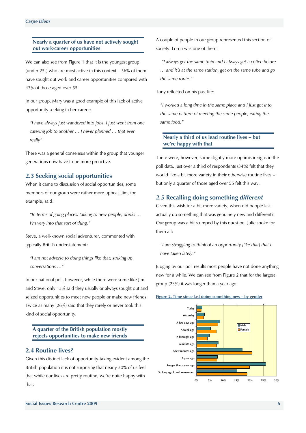## <span id="page-5-0"></span>**Nearly a quarter of us have not actively sought out work/career opportunities**

We can also see from Figure 1 that it is the youngest group (under 25s) who are most active in this context – 56% of them have sought out work and career opportunities compared with 43% of those aged over 55.

In our group, Mary was a good example of this lack of active opportunity seeking in her career:

*"I have always just wandered into jobs. I just went from one catering job to another … I never planned … that ever really"* 

There was a general consensus within the group that younger generations now have to be more proactive.

#### **2.3 Seeking social opportunities**

When it came to discussion of social opportunities, some members of our group were rather more upbeat. Jim, for example, said:

*"In terms of going places, talking to new people, drinks … I'm very into that sort of thing."* 

Steve, a well-known social adventurer, commented with typically British understatement:

*"I am not adverse to doing things like that; striking up conversations …"* 

In our national poll, however, while there were some like Jim and Steve, only 13% said they usually or always sought out and seized opportunities to meet new people or make new friends. Twice as many (26%) said that they rarely or never took this kind of social opportunity.

#### **A quarter of the British population mostly rejects opportunities to make new friends**

### **2.4 Routine lives?**

Given this distinct lack of opportunity-taking evident among the British population it is not surprising that nearly 30% of us feel that while our lives are pretty routine, we're quite happy with that.

A couple of people in our group represented this section of society. Lorna was one of them:

 *"I always get the same train and I always get a coffee before … and it's at the same station, get on the same tube and go the same route."* 

Tony reflected on his past life:

*"I worked a long time in the same place and I just got into the same pattern of meeting the same people, eating the same food."* 

## **Nearly a third of us lead routine lives – but we're happy with that**

There were, however, some slightly more optimistic signs in the poll data. Just over a third of respondents (34%) felt that they would like a bit more variety in their otherwise routine lives – but only a quarter of those aged over 55 felt this way.

#### *2.5* **Recalling doing something** *different*

Given this wish for a bit more variety, when did people last actually do something that was genuinely new and different? Our group was a bit stumped by this question. Julie spoke for them all:

*"I am struggling to think of an opportunity [like that] that I have taken lately."* 

Judging by our poll results most people have not done anything new for a while. We can see from Figure 2 that for the largest group (23%) it was longer than a year ago.

#### **Figure 2. Time since last doing something new – by gender**

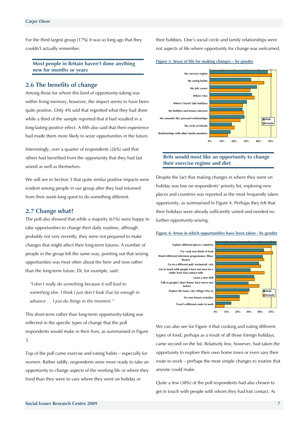<span id="page-6-0"></span>For the third largest group (17%) it was so long ago that they couldn't actually remember.

**Most people in Britain haven't done anything new for months or years** 

## **2.6 The benefits of change**

Among those for whom this kind of opportunity-taking was within living memory, however, the impact seems to have been quite positive. Only 4% said that regretted what they had done while a third of the sample reported that it had resulted in a long-lasting positive effect. A fifth also said that their experience had made them more likely to seize opportunities in the future.

Interestingly, over a quarter of respondents (26%) said that others had benefited from the opportunity that they had last seized as well as themselves.

We will see in Section 3 that quite similar positive impacts were evident among people in our group after they had returned from their week-long quest to do something different.

### **2.7 Change what?**

The poll also showed that while a majority (61%) were happy to take opportunities to change their daily routines, although probably not very recently, they were not prepared to make changes that might affect their long-term futures. A number of people in the group felt the same way, pointing out that seizing opportunities was most often about the here and now rather than the long-term future. Di, for example, said:

*"I don't really do something because it will lead to something else. I think I just don't look that far enough in advance … I just do things in the moment."* 

This short-term rather than long-term opportunity-taking was reflected in the specific types of change that the poll respondents would make in their lives, as summarised in Figure 3.

Top of the poll came exercise and eating habits – especially for women. Rather oddly, respondents were more ready to take an opportunity to change aspects of the working life or where they lived than they were to vary where they went on holiday or

their hobbies. One's social circle and family relationships were not aspects of life where opportunity for change was welcomed.

#### **Figure 3. Areas of life for making changes – by gender**



#### **Brits would most like an opportunity to change their exercise regime and diet**

Despite the fact that making changes in where they went on holiday was low on respondents' priority list, exploring new places and countries was reported as the most frequently taken opportunity, as summarised in Figure 4. Perhaps they felt that their holidays were already sufficiently varied and needed no further opportunity-seizing.

#### **Figure 4. Areas in which opportunities have been taken - by gender**



We can also see for Figure 4 that cooking and eating different types of food, perhaps as a result of all those foreign holidays, came second on the list. Relatively few, however, had taken the opportunity to explore their own home town or even vary their route to work – perhaps the most simple changes to routine that anyone could make.

Quite a few (38%) of the poll respondents had also chosen to get in touch with people with whom they had lost contact. As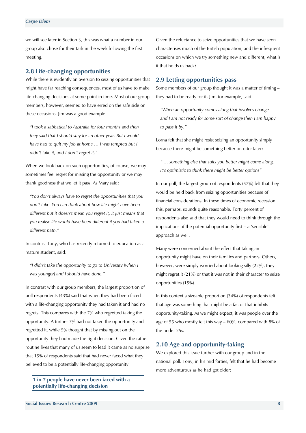<span id="page-7-0"></span>we will see later in Section 3, this was what a number in our group also chose for their task in the week following the first meeting.

## **2.8 Life-changing opportunities**

While there is evidently an aversion to seizing opportunities that might have far reaching consequences, most of us have to make life-changing decisions at some point in time. Most of our group members, however, seemed to have erred on the safe side on these occasions. Jim was a good example:

*"I took a sabbatical to Australia for four months and then they said that I should stay for an other year. But I would have had to quit my job at home … I was tempted but I didn't take it, and I don't regret it."* 

When we look back on such opportunities, of course, we may sometimes feel regret for missing the opportunity or we may thank goodness that we let it pass. As Mary said:

*"You don't always have to regret the opportunities that you don't take. You can think about how life might have been different but it doesn't mean you regret it, it just means that you realise life would have been different if you had taken a different path."* 

In contrast Tony, who has recently returned to education as a mature student, said:

*"I didn't take the opportunity to go to University [when I was younger] and I should have done."* 

In contrast with our group members, the largest proportion of poll respondents (43%) said that when they had been faced with a life-changing opportunity they had taken it and had no regrets. This compares with the 7% who regretted taking the opportunity. A further 7% had not taken the opportunity and regretted it, while 5% thought that by missing out on the opportunity they had made the right decision. Given the rather routine lives that many of us seem to lead it came as no surprise that 15% of respondents said that had never faced what they believed to be a potentially life-changing opportunity.

**1 in 7 people have never been faced with a potentially life-changing decision** 

Given the reluctance to seize opportunities that we have seen characterises much of the British population, and the infrequent occasions on which we try something new and different, what is it that holds us back?

### **2.9 Letting opportunities pass**

Some members of our group thought it was a matter of timing – they had to be ready for it. Jim, for example, said:

*"When an opportunity comes along that involves change and I am not ready for some sort of change then I am happy to pass it by."* 

Lorna felt that she might resist seizing an opportunity simply because there might be something better on offer later:

*" … something else that suits you better might come along. It's optimistic to think there might be better options"* 

In our poll, the largest group of respondents (57%) felt that they would be held back from seizing opportunities because of financial considerations. In these times of economic recession this, perhaps, sounds quite reasonable. Forty percent of respondents also said that they would need to think through the implications of the potential opportunity first – a 'sensible' approach as well.

Many were concerned about the effect that taking an opportunity might have on their families and partners. Others, however, were simply worried about looking silly (22%), they might regret it (21%) or that it was not in their character to seize opportunities (15%).

In this context a sizeable proportion (34%) of respondents felt that age was something that might be a factor that inhibits opportunity-taking. As we might expect, it was people over the age of 55 who mostly felt this way – 60%, compared with 8% of the under 25s.

#### **2.10 Age and opportunity-taking**

We explored this issue further with our group and in the national poll. Tony, in his mid forties, felt that he had become more adventurous as he had got older: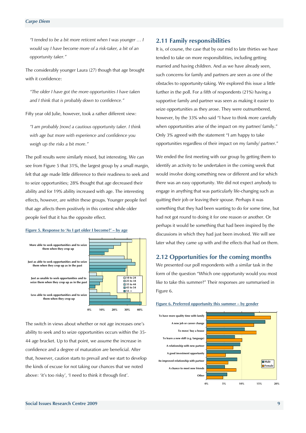<span id="page-8-0"></span>*"I tended to be a bit more reticent when I was younger … I would say I have become more of a risk-taker, a bit of an opportunity taker."* 

The considerably younger Laura (27) though that age brought with it confidence:

*"The older I have got the more opportunities I have taken and I think that is probably down to confidence."*

Fifty year old Julie, however, took a rather different view:

*"I am probably [now] a cautious opportunity taker. I think with age but more with experience and confidence you weigh up the risks a bit more."* 

The poll results were similarly mixed, but interesting. We can see from Figure 5 that 31%, the largest group by a small margin, felt that age made little difference to their readiness to seek and to seize opportunities; 28% thought that age decreased their ability and for 19% ability increased with age. The interesting effects, however, are within these groups. Younger people feel that age affects them positively in this context while older people feel that it has the opposite effect.



**Figure 5. Response to 'As I get older I become?' – by age**

The switch in views about whether or not age increases one's ability to seek and to seize opportunities occurs within the 35- 44 age bracket. Up to that point, we assume the increase in confidence and a degree of maturation are beneficial. After that, however, caution starts to prevail and we start to develop the kinds of excuse for not taking our chances that we noted above: 'it's too risky', 'I need to think it through first'.

## **2.11 Family responsibilities**

It is, of course, the case that by our mid to late thirties we have tended to take on more responsibilities, including getting married and having children. And as we have already seen, such concerns for family and partners are seen as one of the obstacles to opportunity-taking. We explored this issue a little further in the poll. For a fifth of respondents (21%) having a supportive family and partner was seen as making it easier to seize opportunities as they arose. They were outnumbered, however, by the 33% who said "I have to think more carefully when opportunities arise of the impact on my partner/ family." Only 3% agreed with the statement "I am happy to take opportunities regardless of their impact on my family/ partner."

We ended the first meeting with our group by getting them to identify an activity to be undertaken in the coming week that would involve doing something new or different and for which there was an easy opportunity. We did not expect anybody to engage in anything that was particularly life-changing such as quitting their job or leaving their spouse. Perhaps it was something that they had been wanting to do for some time, but had not got round to doing it for one reason or another. Or perhaps it would be something that had been inspired by the discussions in which they had just been involved. We will see later what they came up with and the effects that had on them.

#### **2.12 Opportunities for the coming months**

We presented our poll respondents with a similar task in the form of the question "Which one opportunity would you most like to take this summer?" Their responses are summarised in Figure 6.



#### **Figure 6. Preferred opportunity this summer – by gender**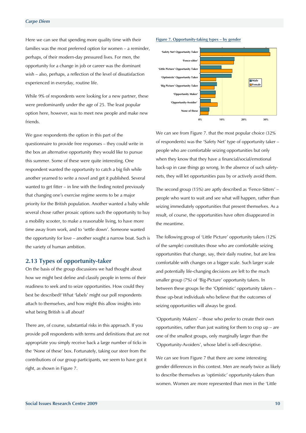<span id="page-9-0"></span>Here we can see that spending more quality time with their families was the most preferred option for women – a reminder, perhaps, of their modern-day pressured lives. For men, the opportunity for a change in job or career was the dominant wish – also, perhaps, a reflection of the level of dissatisfaction experienced in everyday, routine life.

While 9% of respondents were looking for a new partner, these were predominantly under the age of 25. The least popular option here, however, was to meet new people and make new friends.

We gave respondents the option in this part of the questionnaire to provide free responses – they could write in the box an alternative opportunity they would like to pursue this summer. Some of these were quite interesting. One respondent wanted the opportunity to catch a big fish while another yearned to write a novel and get it published. Several wanted to get fitter – in line with the finding noted previously that changing one's exercise regime seems to be a major priority for the British population. Another wanted a baby while several chose rather prosaic options such the opportunity to buy a mobility scooter, to make a reasonable living, to have more time away from work, and to 'settle down'. Someone wanted the opportunity for love – another sought a narrow boat. Such is the variety of human ambition.

#### **2.13 Types of opportunity-taker**

On the basis of the group discussions we had thought about how we might best define and classify people in terms of their readiness to seek and to seize opportunities. How could they best be described? What 'labels' might our poll respondents attach to themselves, and how might this allow insights into what being British is all about?

There are, of course, substantial risks in this approach. If you provide poll respondents with terms and definitions that are not appropriate you simply receive back a large number of ticks in the 'None of these' box. Fortunately, taking our steer from the contributions of our group participants, we seem to have got it right, as shown in Figure 7.

#### **Figure 7. Opportunity-taking types – by gender**



We can see from Figure 7. that the most popular choice (32% of respondents) was the 'Safety Net' type of opportunity taker – people who are comfortable seizing opportunities but only when they know that they have a financial/social/emotional back-up in case things go wrong. In the absence of such safetynets, they will let opportunities pass by or actively avoid them.

The second group (15%) are aptly described as 'Fence-Sitters' – people who want to wait and see what will happen, rather than seizing immediately opportunities that present themselves. As a result, of course, the opportunities have often disappeared in the meantime.

The following group of 'Little Picture' opportunity takers (12% of the sample) constitutes those who are comfortable seizing opportunities that change, say, their daily routine, but are less comfortable with changes on a bigger scale. Such larger scale and potentially life-changing decisions are left to the much smaller group (7%) of 'Big-Picture' opportunity takers. In between these groups lie the 'Optimistic' opportunity takers – those up-beat individuals who believe that the outcomes of seizing opportunities will always be good.

'Opportunity Makers' – those who prefer to create their own opportunities, rather than just waiting for them to crop up – are one of the smallest groups, only marginally larger than the 'Opportunity-Avoiders', whose label is self-descriptive.

We can see from Figure 7 that there are some interesting gender differences in this context. Men are nearly twice as likely to describe themselves as 'optimistic' opportunity-takers than women. Women are more represented than men in the 'Little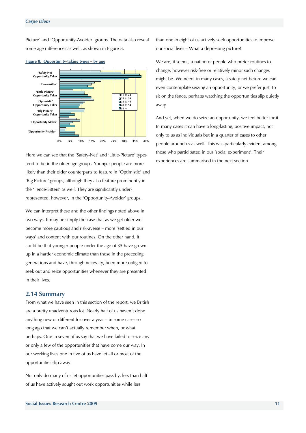<span id="page-10-0"></span>Picture' and 'Opportunity-Avoider' groups. The data also reveal some age differences as well, as shown in Figure 8.



#### **Figure 8. Opportunity-taking types – by age**

Here we can see that the 'Safety-Net' and 'Little-Picture' types tend to be in the older age groups. Younger people are more likely than their older counterparts to feature in 'Optimistic' and 'Big Picture' groups, although they also feature prominently in the 'Fence-Sitters' as well. They are significantly underrepresented, however, in the 'Opportunity-Avoider' groups.

We can interpret these and the other findings noted above in two ways. It may be simply the case that as we get older we become more cautious and risk-averse – more 'settled in our ways' and content with our routines. On the other hand, it could be that younger people under the age of 35 have grown up in a harder economic climate than those in the preceding generations and have, through necessity, been more obliged to seek out and seize opportunities whenever they are presented in their lives.

#### **2.14 Summary**

From what we have seen in this section of the report, we British are a pretty unadventurous lot. Nearly half of us haven't done anything new or different for over a year – in some cases so long ago that we can't actually remember when, or what perhaps. One in seven of us say that we have failed to seize any or only a few of the opportunities that have come our way. In our working lives one in five of us have let all or most of the opportunities slip away.

Not only do many of us let opportunities pass by, less than half of us have actively sought out work opportunities while less

than one in eight of us actively seek opportunities to improve our social lives – What a depressing picture!

We are, it seems, a nation of people who prefer routines to change, however risk-free or relatively minor such changes might be. We need, in many cases, a safety net before we can even contemplate seizing an opportunity, or we prefer just to sit on the fence, perhaps watching the opportunities slip quietly away.

And yet, when we do seize an opportunity, we feel better for it. In many cases it can have a long-lasting, positive impact, not only to us as individuals but in a quarter of cases to other people around us as well. This was particularly evident among those who participated in our 'social experiment'. Their experiences are summarised in the next section.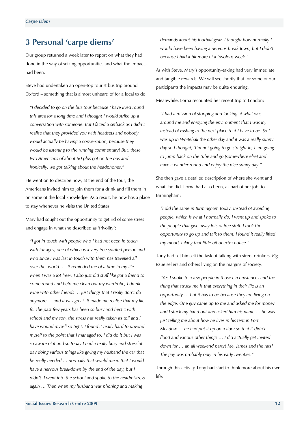# <span id="page-11-0"></span>**3 Personal 'carpe diems'**

Our group returned a week later to report on what they had done in the way of seizing opportunities and what the impacts had been.

Steve had undertaken an open-top tourist bus trip around Oxford – something that is almost unheard of for a local to do.

*"I decided to go on the bus tour because I have lived round this area for a long time and I thought I would strike up a conversation with someone. But I faced a setback as I didn't realise that they provided you with headsets and nobody would actually be having a conversation, because they would be listening to the running commentary! But, these two Americans of about 50 plus got on the bus and ironically, we got talking about the headphones."*

He went on to describe how, at the end of the tour, the Americans invited him to join them for a drink and fill them in on some of the local knowledge. As a result, he now has a place to stay whenever he visits the United States.

Mary had sought out the opportunity to get rid of some stress and engage in what she described as 'frivolity':

*"I got in touch with people who I had not been in touch with for ages, one of which is a very free spirited person and who since I was last in touch with them has travelled all over the world … It reminded me of a time in my life when I was a lot freer. I also just did stuff like got a friend to come round and help me clean out my wardrobe, I drank wine with other friends … just things that I really don't do anymore … and it was great. It made me realise that my life for the past few years has been so busy and hectic with school and my son, the stress has really taken its toll and I have wound myself so tight. I found it really hard to unwind myself to the point that I managed to. I did do it but I was so aware of it and so today I had a really busy and stressful day doing various things like giving my husband the car that he really needed … normally that would mean that I would have a nervous breakdown by the end of the day, but I didn't. I went into the school and spoke to the headmistress again … Then when my husband was phoning and making* 

*demands about his football gear, I thought how normally I would have been having a nervous breakdown, but I didn't because I had a bit more of a frivolous week."* 

As with Steve, Mary's opportunity-taking had very immediate and tangible rewards. We will see shortly that for some of our participants the impacts may be quite enduring.

Meanwhile, Lorna recounted her recent trip to London:

*"I had a mission of stopping and looking at what was around me and enjoying the environment that I was in, instead of rushing to the next place that I have to be. So I was up in Whitehall the other day and it was a really sunny day so I thought, 'I'm not going to go straight in, I am going to jump back on the tube and go [somewhere else] and have a wander round and enjoy the nice sunny day."* 

She then gave a detailed description of where she went and what she did. Lorna had also been, as part of her job, to Birmingham:

*"I did the same in Birmingham today. Instead of avoiding people, which is what I normally do, I went up and spoke to the people that give away lots of free stuff. I took the opportunity to go up and talk to them. I found it really lifted my mood, taking that little bit of extra notice."*

Tony had set himself the task of talking with street drinkers, *Big Issue* sellers and others living on the margins of society:

*"Yes I spoke to a few people in those circumstances and the thing that struck me is that everything in their life is an opportunity … but it has to be because they are living on the edge. One guy came up to me and asked me for money and I stuck my hand out and asked him his name … he was just telling me about how he lives in his tent in Port Meadow … he had put it up on a floor so that it didn't flood and various other things … I did actually get invited down for … an all weekend party! Me, James and the rats! The guy was probably only in his early twenties."*

Through this activity Tony had start to think more about his own life: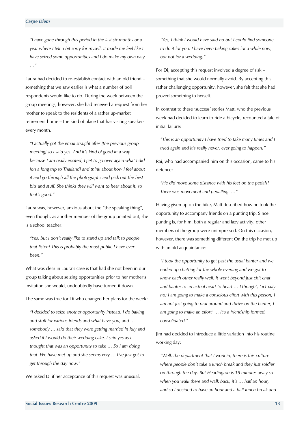*"I have gone through this period in the last six months or a year where I felt a bit sorry for myself. It made me feel like I have seized some opportunities and I do make my own way …"* 

Laura had decided to re-establish contact with an old friend – something that we saw earlier is what a number of poll respondents would like to do. During the week between the group meetings, however, she had received a request from her mother to speak to the residents of a rather up-market retirement home – the kind of place that has visiting speakers every month.

*"I actually got the email straight after [the previous group meeting] so I said yes. And it's kind of good in a way because I am really excited; I get to go over again what I did [on a long trip to Thailand] and think about how I feel about it and go through all the photographs and pick out the best bits and stuff. She thinks they will want to hear about it, so that's good."* 

Laura was, however, anxious about the "the speaking thing", even though, as another member of the group pointed out, she is a school teacher:

*"Yes, but I don't really like to stand up and talk to people that listen! This is probably the most public I have ever been."* 

What was clear in Laura's case is that had she not been in our group talking about seizing opportunities prior to her mother's invitation she would, undoubtedly have turned it down.

The same was true for Di who changed her plans for the week:

*"I decided to seize another opportunity instead. I do baking and stuff for various friends and what have you, and … somebody … said that they were getting married in July and asked if I would do their wedding cake. I said yes as I thought that was an opportunity to take … So I am doing that. We have met up and she seems very … I've just got to get through the day now."* 

We asked Di if her acceptance of this request was unusual.

*"Yes, I think I would have said no but I could find someone to do it for you. I have been baking cakes for a while now, but not for a wedding!"* 

For Di, accepting this request involved a degree of risk – something that she would normally avoid. By accepting this rather challenging opportunity, however, she felt that she had proved something to herself.

In contrast to these 'success' stories Matt, who the previous week had decided to learn to ride a bicycle, recounted a tale of initial failure:

*"This is an opportunity I have tried to take many times and I tried again and it's really never, ever going to happen!"* 

Rai, who had accompanied him on this occasion, came to his defence:

*"He did move some distance with his feet on the pedals! There was movement and pedalling. …"* 

Having given up on the bike, Matt described how he took the opportunity to accompany friends on a punting trip. Since punting is, for him, both a regular and lazy activity, other members of the group were unimpressed. On this occasion, however, there was something different On the trip he met up with an old acquaintance:

*"I took the opportunity to get past the usual banter and we ended up chatting for the whole evening and we got to know each other really well. It went beyond just chit chat and banter to an actual heart to heart … I thought, 'actually no; I am going to make a conscious effort with this person, I am not just going to prat around and thrive on the banter, I am going to make an effort' … It's a friendship formed, consolidated."* 

Jim had decided to introduce a little variation into his routine working day:

*"Well, the department that I work in, there is this culture where people don't take a lunch break and they just soldier on through the day. But Headington is 15 minutes away so when you walk there and walk back, it's … half an hour, and so I decided to have an hour and a half lunch break and*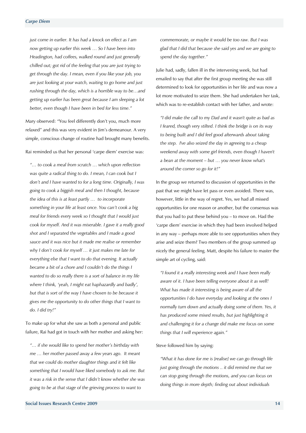*just come in earlier. It has had a knock on effect as I am now getting up earlier this week … So I have been into Headington, had coffees, walked round and just generally chilled out; got rid of the feeling that you are just trying to get through the day. I mean, even if you like your job, you are just looking at your watch, waiting to go home and just rushing through the day, which is a horrible way to be…and getting up earlier has been great because I am sleeping a lot better, even though I have been in bed for less time."* 

Mary observed: "You feel differently don't you, much more relaxed" and this was very evident in Jim's demeanour. A very simple, conscious change of routine had brought many benefits.

Rai reminded us that her personal 'carpe diem' exercise was:

*"… to cook a meal from scratch … which upon reflection was quite a radical thing to do. I mean, I can cook but I don't and I have wanted to for a long time. Originally, I was going to cook a biggish meal and then I thought, because the idea of this is at least partly … to incorporate something in your life at least once. You can't cook a big meal for friends every week so I thought that I would just cook for myself. And it was miserable. I gave it a really good shot and I separated the vegetables and I made a good sauce and it was nice but it made me realise or remember why I don't cook for myself … it just makes me late for everything else that I want to do that evening. It actually became a bit of a chore and I couldn't do the things I wanted to do so really there is a sort of balance in my life where I think, 'yeah, I might eat haphazardly and badly', but that is sort of the way I have chosen to be because it gives me the opportunity to do other things that I want to do. I did try!"* 

To make up for what she saw as both a personal and public failure, Rai had got in touch with her mother and asking her:

*"… if she would like to spend her mother's birthday with me … her mother passed away a few years ago. It meant that we could do mother daughter things and it felt like something that I would have liked somebody to ask me. But it was a risk in the sense that I didn't know whether she was going to be at that stage of the grieving process to want to* 

*commemorate, or maybe it would be too raw. But I was glad that I did that because she said yes and we are going to spend the day together."*

Julie had, sadly, fallen ill in the intervening week, but had emailed to say that after the first group meeting she was still determined to look for opportunities in her life and was now a lot more motivated to seize them. She had undertaken her task, which was to re-establish contact with her father, and wrote:

*"I did make the call to my Dad and it wasn't quite as bad as I feared, though very stilted. I think the bridge is on its way to being built and I did feel good afterwards about taking the step. I've also seized the day in agreeing to a cheap weekend away with some girl friends, even though I haven't a bean at the moment – but … you never know what's around the corner so go for it!"* 

In the group we returned to discussion of opportunities in the past that we might have let pass or even avoided. There was, however, little in the way of regret. Yes, we had all missed opportunities for one reason or another, but the consensus was that you had to put these behind you – to move on. Had the 'carpe diem' exercise in which they had been involved helped in any way – perhaps more able to see opportunities when they arise and seize them? Two members of the group summed up nicely the general feeling. Matt, despite his failure to master the simple art of cycling, said:

*"I found it a really interesting week and I have been really aware of it. I have been telling everyone about it as well! What has made it interesting is being aware of all the opportunities I do have everyday and looking at the ones I normally turn down and actually doing some of them. Yes, it has produced some mixed results, but just highlighting it and challenging it for a change did make me focus on some things that I will experience again."* 

#### Steve followed him by saying:

*"What it has done for me is [realise] we can go through life just going through the motions .. it did remind me that we can stop going through the motions, and you can focus on doing things in more depth; finding out about individuals*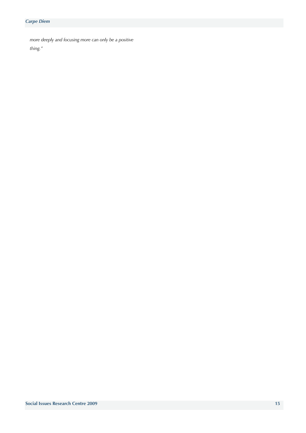*more deeply and focusing more can only be a positive* 

*thing."*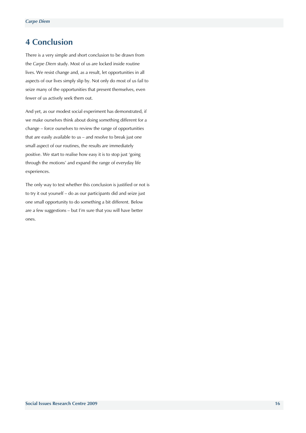# <span id="page-15-0"></span>**4 Conclusion**

There is a very simple and short conclusion to be drawn from the *Carpe Diem* study. Most of us are locked inside routine lives. We resist change and, as a result, let opportunities in all aspects of our lives simply slip by. Not only do most of us fail to seize many of the opportunities that present themselves, even fewer of us actively seek them out.

And yet, as our modest social experiment has demonstrated, if we make ourselves think about doing something different for a change – force ourselves to review the range of opportunities that are easily available to us – and resolve to break just one small aspect of our routines, the results are immediately positive. We start to realise how easy it is to stop just 'going through the motions' and expand the range of everyday life experiences.

The only way to test whether this conclusion is justified or not is to try it out yourself – do as our participants did and seize just one small opportunity to do something a bit different. Below are a few suggestions – but I'm sure that you will have better ones.